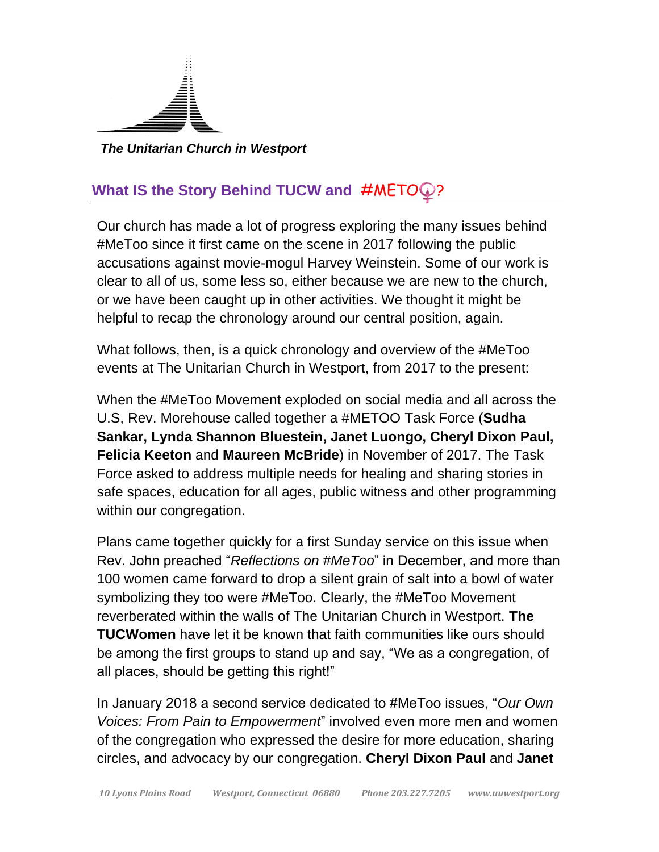

*The Unitarian Church in Westport*

## **What IS the Story Behind TUCW and #METO ?**

Our church has made a lot of progress exploring the many issues behind #MeToo since it first came on the scene in 2017 following the public accusations against movie-mogul Harvey Weinstein. Some of our work is clear to all of us, some less so, either because we are new to the church, or we have been caught up in other activities. We thought it might be helpful to recap the chronology around our central position, again.

What follows, then, is a quick chronology and overview of the #MeToo events at The Unitarian Church in Westport, from 2017 to the present:

When the #MeToo Movement exploded on social media and all across the U.S, Rev. Morehouse called together a #METOO Task Force (**Sudha Sankar, Lynda Shannon Bluestein, Janet Luongo, Cheryl Dixon Paul, Felicia Keeton** and **Maureen McBride**) in November of 2017. The Task Force asked to address multiple needs for healing and sharing stories in safe spaces, education for all ages, public witness and other programming within our congregation.

Plans came together quickly for a first Sunday service on this issue when Rev. John preached "*Reflections on #MeToo*" in December, and more than 100 women came forward to drop a silent grain of salt into a bowl of water symbolizing they too were #MeToo. Clearly, the #MeToo Movement reverberated within the walls of The Unitarian Church in Westport. **The TUCWomen** have let it be known that faith communities like ours should be among the first groups to stand up and say, "We as a congregation, of all places, should be getting this right!"

In January 2018 a second service dedicated to #MeToo issues, "*Our Own Voices: From Pain to Empowerment*" involved even more men and women of the congregation who expressed the desire for more education, sharing circles, and advocacy by our congregation. **Cheryl Dixon Paul** and **Janet**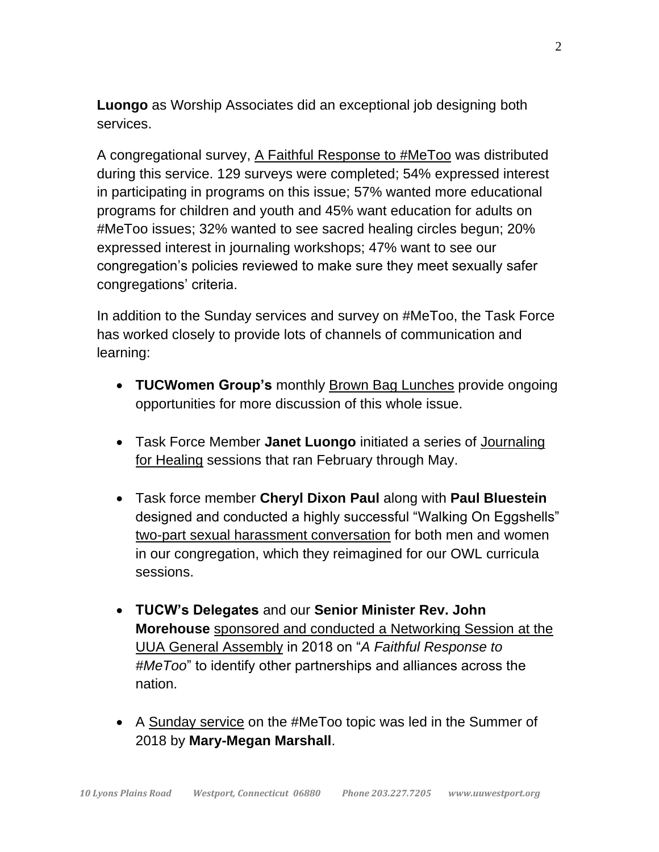**Luongo** as Worship Associates did an exceptional job designing both services.

A congregational survey, A Faithful Response to #MeToo was distributed during this service. 129 surveys were completed; 54% expressed interest in participating in programs on this issue; 57% wanted more educational programs for children and youth and 45% want education for adults on #MeToo issues; 32% wanted to see sacred healing circles begun; 20% expressed interest in journaling workshops; 47% want to see our congregation's policies reviewed to make sure they meet sexually safer congregations' criteria.

In addition to the Sunday services and survey on #MeToo, the Task Force has worked closely to provide lots of channels of communication and learning:

- **TUCWomen Group's** monthly Brown Bag Lunches provide ongoing opportunities for more discussion of this whole issue.
- Task Force Member **Janet Luongo** initiated a series of Journaling for Healing sessions that ran February through May.
- Task force member **Cheryl Dixon Paul** along with **Paul Bluestein** designed and conducted a highly successful "Walking On Eggshells" two-part sexual harassment conversation for both men and women in our congregation, which they reimagined for our OWL curricula sessions.
- **TUCW's Delegates** and our **Senior Minister Rev. John Morehouse** sponsored and conducted a Networking Session at the UUA General Assembly in 2018 on "*A Faithful Response to #MeToo*" to identify other partnerships and alliances across the nation.
- A Sunday service on the #MeToo topic was led in the Summer of 2018 by **Mary-Megan Marshall**.